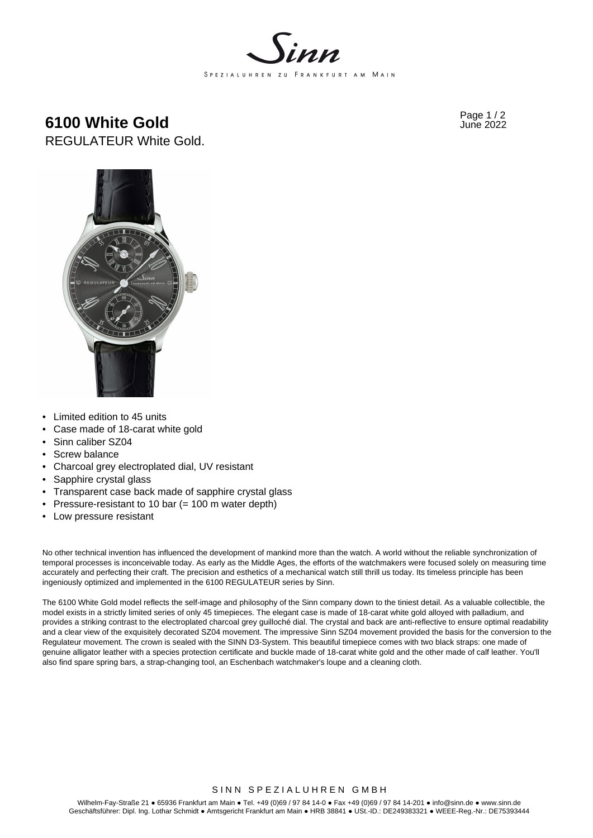

**6100 White Gold Fage 1/2 6100 White Gold** REGULATEUR White Gold.



- Limited edition to 45 units
- Case made of 18-carat white gold
- Sinn caliber SZ04
- Screw balance
- Charcoal grey electroplated dial, UV resistant
- Sapphire crystal glass
- Transparent case back made of sapphire crystal glass
- Pressure-resistant to 10 bar (= 100 m water depth)
- Low pressure resistant

No other technical invention has influenced the development of mankind more than the watch. A world without the reliable synchronization of temporal processes is inconceivable today. As early as the Middle Ages, the efforts of the watchmakers were focused solely on measuring time accurately and perfecting their craft. The precision and esthetics of a mechanical watch still thrill us today. Its timeless principle has been ingeniously optimized and implemented in the 6100 REGULATEUR series by Sinn.

The 6100 White Gold model reflects the self-image and philosophy of the Sinn company down to the tiniest detail. As a valuable collectible, the model exists in a strictly limited series of only 45 timepieces. The elegant case is made of 18-carat white gold alloyed with palladium, and provides a striking contrast to the electroplated charcoal grey guilloché dial. The crystal and back are anti-reflective to ensure optimal readability and a clear view of the exquisitely decorated SZ04 movement. The impressive Sinn SZ04 movement provided the basis for the conversion to the Regulateur movement. The crown is sealed with the SINN D3-System. This beautiful timepiece comes with two black straps: one made of genuine alligator leather with a species protection certificate and buckle made of 18-carat white gold and the other made of calf leather. You'll also find spare spring bars, a strap-changing tool, an Eschenbach watchmaker's loupe and a cleaning cloth.

# SINN SPEZIALUHREN GMBH